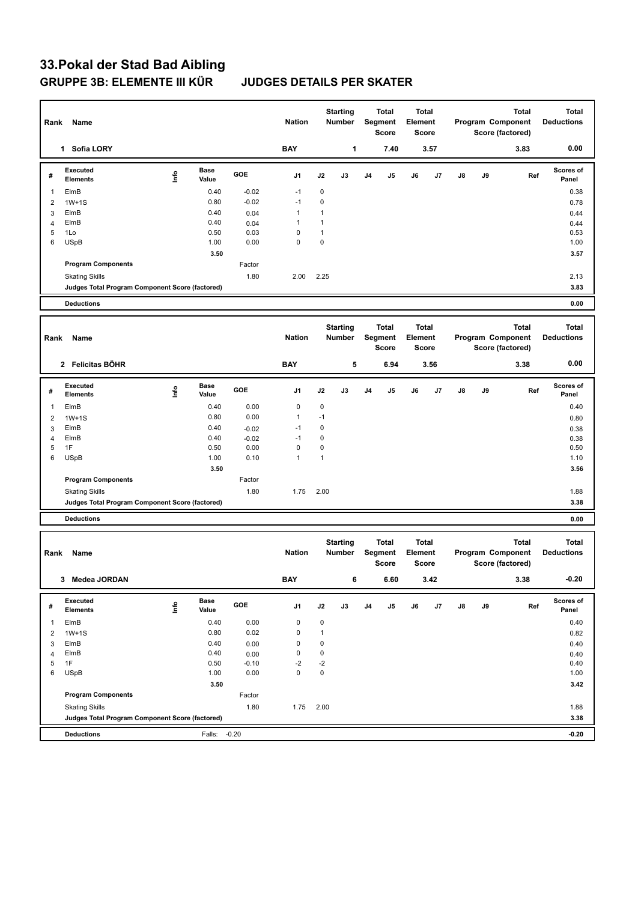## **33.Pokal der Stad Bad Aibling GRUPPE 3B: ELEMENTE III KÜR JUDGES DETAILS PER SKATER**

| Rank           | Name                                                                     |                                  |                      |              | <b>Nation</b> |                             | <b>Starting</b><br>Number |                         | Total<br>Segment<br><b>Score</b> |                         | <b>Total</b><br>Element<br>Score |                              | <b>Total</b><br>Program Component<br>Score (factored) |                   | <b>Total</b><br><b>Deductions</b> |
|----------------|--------------------------------------------------------------------------|----------------------------------|----------------------|--------------|---------------|-----------------------------|---------------------------|-------------------------|----------------------------------|-------------------------|----------------------------------|------------------------------|-------------------------------------------------------|-------------------|-----------------------------------|
|                | 1 Sofia LORY                                                             |                                  |                      |              | <b>BAY</b>    |                             | 1                         |                         | 7.40                             |                         | 3.57                             |                              |                                                       | 3.83              | 0.00                              |
| #              | Executed<br><b>Elements</b>                                              | <u>Info</u>                      | <b>Base</b><br>Value | GOE          | J1            | J2                          | J3                        | J4                      | J5                               | J6                      | J7                               | J8                           | J9                                                    | Ref               | <b>Scores of</b><br>Panel         |
| $\mathbf{1}$   | ElmB                                                                     |                                  | 0.40                 | $-0.02$      | $-1$          | $\mathbf 0$                 |                           |                         |                                  |                         |                                  |                              |                                                       |                   | 0.38                              |
| $\overline{2}$ | $1W+1S$                                                                  |                                  | 0.80                 | $-0.02$      | $-1$          | $\mathbf 0$                 |                           |                         |                                  |                         |                                  |                              |                                                       |                   | 0.78                              |
| 3              | ElmB                                                                     |                                  | 0.40                 | 0.04         | 1             | 1                           |                           |                         |                                  |                         |                                  |                              |                                                       |                   | 0.44                              |
| $\overline{4}$ | ElmB                                                                     |                                  | 0.40                 | 0.04         | 1             | $\mathbf{1}$                |                           |                         |                                  |                         |                                  |                              |                                                       |                   | 0.44                              |
| 5<br>6         | 1Lo<br><b>USpB</b>                                                       |                                  | 0.50<br>1.00         | 0.03<br>0.00 | 0<br>0        | $\mathbf{1}$<br>$\mathbf 0$ |                           |                         |                                  |                         |                                  |                              |                                                       |                   | 0.53<br>1.00                      |
|                |                                                                          |                                  | 3.50                 |              |               |                             |                           |                         |                                  |                         |                                  |                              |                                                       |                   | 3.57                              |
|                | <b>Program Components</b>                                                |                                  |                      | Factor       |               |                             |                           |                         |                                  |                         |                                  |                              |                                                       |                   |                                   |
|                | <b>Skating Skills</b>                                                    |                                  |                      | 1.80         | 2.00          | 2.25                        |                           |                         |                                  |                         |                                  |                              |                                                       |                   | 2.13                              |
|                | Judges Total Program Component Score (factored)                          |                                  |                      |              |               |                             |                           |                         |                                  |                         |                                  |                              |                                                       |                   | 3.83                              |
|                | <b>Deductions</b>                                                        |                                  |                      |              |               |                             |                           |                         |                                  |                         |                                  |                              |                                                       |                   | 0.00                              |
|                |                                                                          |                                  |                      |              |               |                             |                           |                         |                                  |                         |                                  |                              |                                                       |                   |                                   |
|                |                                                                          |                                  |                      |              |               | <b>Starting</b><br>Number   |                           | <b>Total</b><br>Segment |                                  | <b>Total</b><br>Element |                                  |                              | <b>Total</b>                                          |                   |                                   |
| Rank           | Name                                                                     |                                  |                      |              | <b>Nation</b> |                             |                           |                         |                                  |                         |                                  |                              |                                                       | Program Component | <b>Deductions</b>                 |
|                |                                                                          |                                  |                      |              |               |                             |                           |                         | <b>Score</b>                     |                         | Score                            |                              |                                                       | Score (factored)  |                                   |
|                | 2 Felicitas BÖHR                                                         |                                  |                      |              | <b>BAY</b>    |                             | 5                         |                         | 6.94                             |                         | 3.56                             |                              |                                                       | 3.38              | 0.00                              |
|                | Executed                                                                 |                                  | Base                 |              |               |                             |                           |                         |                                  |                         |                                  |                              |                                                       |                   | <b>Scores of</b>                  |
| #              | <b>Elements</b>                                                          | lnfo                             | Value                | GOE          | J1            | J2                          | J3                        | J4                      | J5                               | J6                      | J7                               | J8                           | J9                                                    | Ref               | Panel                             |
| $\mathbf{1}$   | ElmB                                                                     |                                  | 0.40                 | 0.00         | 0             | 0                           |                           |                         |                                  |                         |                                  |                              |                                                       |                   | 0.40                              |
| $\overline{2}$ | $1W+1S$                                                                  |                                  | 0.80                 | 0.00         | 1             | $-1$                        |                           |                         |                                  |                         |                                  |                              |                                                       |                   | 0.80                              |
| 3              | ElmB                                                                     |                                  | 0.40                 | $-0.02$      | $-1$          | 0                           |                           |                         |                                  |                         |                                  |                              |                                                       |                   | 0.38                              |
| 4              | ElmB                                                                     |                                  | 0.40                 | $-0.02$      | $-1$          | $\mathbf 0$                 |                           |                         |                                  |                         |                                  |                              |                                                       |                   | 0.38                              |
| 5              | 1F                                                                       |                                  | 0.50                 | 0.00         | 0             | $\mathbf 0$                 |                           |                         |                                  |                         |                                  |                              |                                                       |                   | 0.50                              |
| 6              | <b>USpB</b>                                                              |                                  | 1.00                 | 0.10         | 1             | $\mathbf{1}$                |                           |                         |                                  |                         |                                  |                              |                                                       |                   | 1.10                              |
|                | <b>Program Components</b>                                                |                                  | 3.50                 | Factor       |               |                             |                           |                         |                                  |                         |                                  |                              |                                                       |                   | 3.56                              |
|                |                                                                          |                                  |                      | 1.80         | 1.75          | 2.00                        |                           |                         |                                  |                         |                                  |                              |                                                       |                   | 1.88                              |
|                | <b>Skating Skills</b><br>Judges Total Program Component Score (factored) |                                  |                      |              |               |                             |                           |                         |                                  |                         |                                  |                              |                                                       |                   | 3.38                              |
|                |                                                                          |                                  |                      |              |               |                             |                           |                         |                                  |                         |                                  |                              |                                                       |                   |                                   |
|                | <b>Deductions</b>                                                        |                                  |                      |              |               |                             |                           |                         |                                  |                         |                                  |                              |                                                       |                   | 0.00                              |
|                | Name                                                                     |                                  |                      |              |               | <b>Starting</b>             |                           | <b>Total</b>            |                                  | <b>Total</b>            |                                  | <b>Total</b><br><b>Total</b> |                                                       |                   |                                   |
| Rank           |                                                                          |                                  |                      |              | <b>Nation</b> |                             | <b>Number</b>             |                         | Segment                          | Element                 |                                  |                              |                                                       | Program Component | <b>Deductions</b>                 |
|                |                                                                          |                                  |                      |              |               |                             |                           |                         | Score                            |                         | Score                            |                              |                                                       | Score (factored)  |                                   |
| 3 Medea JORDAN |                                                                          |                                  |                      |              | <b>BAY</b>    | 6                           |                           | 6.60                    |                                  | 3.42                    |                                  |                              |                                                       | 3.38              | $-0.20$                           |
|                |                                                                          |                                  |                      |              |               |                             |                           |                         |                                  |                         |                                  |                              |                                                       |                   |                                   |
| #              | Executed<br><b>Elements</b>                                              | $\mathop{\mathsf{Int}}\nolimits$ | Base<br>Value        | GOE          | J1            | J2                          | J3                        | J <sub>4</sub>          | J5                               | J6                      | J7                               | $\mathsf{J}8$                | J9                                                    | Ref               | Scores of<br>Panel                |
| $\mathbf{1}$   | ElmB                                                                     |                                  | 0.40                 | 0.00         | 0             | $\pmb{0}$                   |                           |                         |                                  |                         |                                  |                              |                                                       |                   | 0.40                              |
| $\overline{2}$ | $1W+1S$                                                                  |                                  | 0.80                 | 0.02         | 0             | $\mathbf{1}$                |                           |                         |                                  |                         |                                  |                              |                                                       |                   | 0.82                              |
| 3              | ElmB                                                                     |                                  | 0.40                 | 0.00         | 0             | $\mathbf 0$                 |                           |                         |                                  |                         |                                  |                              |                                                       |                   | 0.40                              |
| $\overline{4}$ | ElmB                                                                     |                                  | 0.40                 | 0.00         | 0             | 0                           |                           |                         |                                  |                         |                                  |                              |                                                       |                   | 0.40                              |
| 5              | 1F                                                                       |                                  | 0.50                 | $-0.10$      | -2            | $-2$                        |                           |                         |                                  |                         |                                  |                              |                                                       |                   | 0.40                              |
| 6              | <b>USpB</b>                                                              |                                  | 1.00                 | 0.00         | $\mathbf 0$   | $\mathsf 0$                 |                           |                         |                                  |                         |                                  |                              |                                                       |                   | 1.00                              |
|                |                                                                          |                                  | 3.50                 |              |               |                             |                           |                         |                                  |                         |                                  |                              |                                                       |                   | 3.42                              |
|                | <b>Program Components</b>                                                |                                  |                      | Factor       |               |                             |                           |                         |                                  |                         |                                  |                              |                                                       |                   |                                   |
|                | <b>Skating Skills</b>                                                    |                                  |                      | 1.80         | 1.75          | 2.00                        |                           |                         |                                  |                         |                                  |                              |                                                       |                   | 1.88                              |
|                | Judges Total Program Component Score (factored)                          |                                  |                      |              |               |                             |                           |                         |                                  |                         |                                  |                              |                                                       |                   | 3.38                              |
|                | <b>Deductions</b>                                                        |                                  | Falls: -0.20         |              |               |                             |                           |                         |                                  |                         |                                  |                              |                                                       |                   | $-0.20$                           |